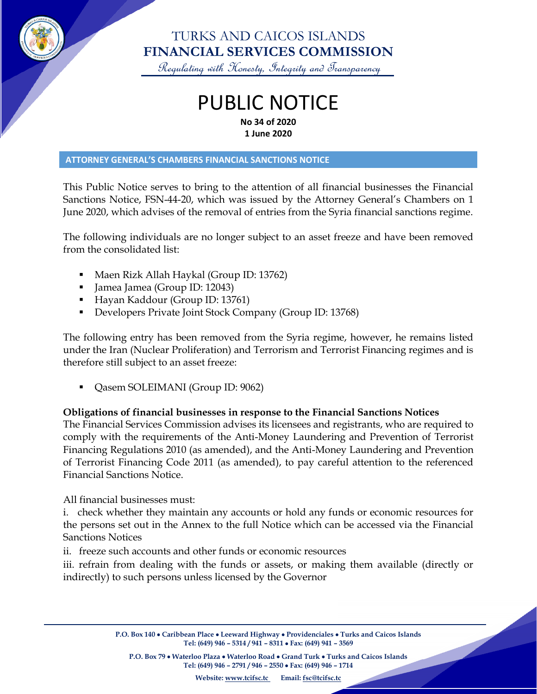

### TURKS AND CAICOS ISLANDS **FINANCIAL SERVICES COMMISSION**

Regulating with Honesty, Integrity and Transparency

### PUBLIC NOTICE **No 34 of 2020 1 June 2020**

#### **ATTORNEY GENERAL'S CHAMBERS FINANCIAL SANCTIONS NOTICE**

This Public Notice serves to bring to the attention of all financial businesses the Financial Sanctions Notice, FSN-44-20, which was issued by the Attorney General's Chambers on 1 June 2020, which advises of the removal of entries from the Syria financial sanctions regime.

The following individuals are no longer subject to an asset freeze and have been removed from the consolidated list:

- Maen Rizk Allah Haykal (Group ID: 13762)
- Jamea Jamea (Group ID: 12043)
- Hayan Kaddour (Group ID: 13761)
- Developers Private Joint Stock Company (Group ID: 13768)

The following entry has been removed from the Syria regime, however, he remains listed under the Iran (Nuclear Proliferation) and Terrorism and Terrorist Financing regimes and is therefore still subject to an asset freeze:

• Qasem SOLEIMANI (Group ID: 9062)

### **Obligations of financial businesses in response to the Financial Sanctions Notices**

The Financial Services Commission advises its licensees and registrants, who are required to comply with the requirements of the Anti-Money Laundering and Prevention of Terrorist Financing Regulations 2010 (as amended), and the Anti-Money Laundering and Prevention of Terrorist Financing Code 2011 (as amended), to pay careful attention to the referenced Financial Sanctions Notice.

All financial businesses must:

i. check whether they maintain any accounts or hold any funds or economic resources for the persons set out in the Annex to the full Notice which can be accessed via the Financial Sanctions Notices

ii. freeze such accounts and other funds or economic resources

iii. refrain from dealing with the funds or assets, or making them available (directly or indirectly) to such persons unless licensed by the Governor

> **P.O. Box 140** • **Caribbean Place** • **Leeward Highway** • **Providenciales** • **Turks and Caicos Islands Tel: (649) 946 – 5314 / 941 – 8311** • **Fax: (649) 941 – 3569**

**P.O. Box 79** • **Waterloo Plaza** • **Waterloo Road** • **Grand Turk** • **Turks and Caicos Islands Tel: (649) 946 – 2791 / 946 – 2550** • **Fax: (649) 946 – 1714**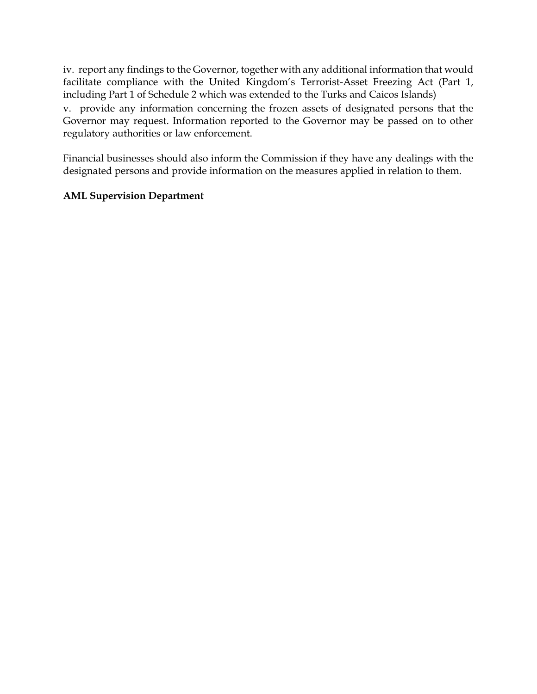iv. report any findings to the Governor, together with any additional information that would facilitate compliance with the United Kingdom's Terrorist-Asset Freezing Act (Part 1, including Part 1 of Schedule 2 which was extended to the Turks and Caicos Islands)

v. provide any information concerning the frozen assets of designated persons that the Governor may request. Information reported to the Governor may be passed on to other regulatory authorities or law enforcement.

Financial businesses should also inform the Commission if they have any dealings with the designated persons and provide information on the measures applied in relation to them.

### **AML Supervision Department**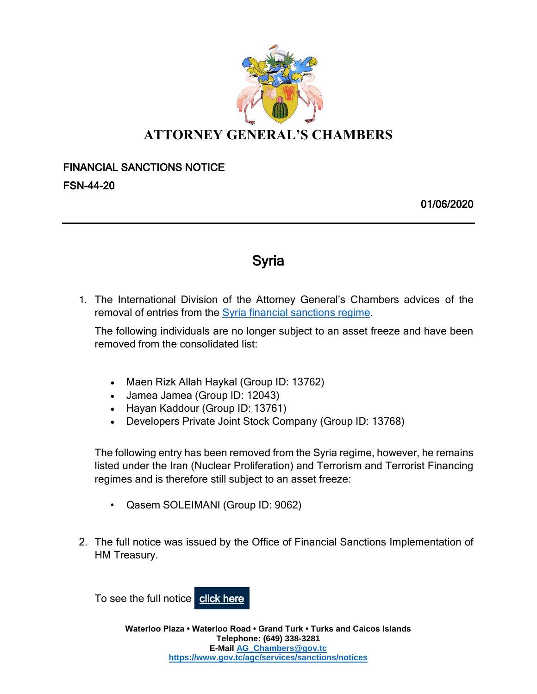

## **ATTORNEY GENERAL'S CHAMBERS**

# FINANCIAL SANCTIONS NOTICE

FSN-44-20

01/06/2020

## Syria

1. The International Division of the Attorney General's Chambers advices of the removal of entries from the Syria [financial sanctions regime.](https://nam01.safelinks.protection.outlook.com/?url=https%3A%2F%2Flnks.gd%2Fl%2FeyJhbGciOiJIUzI1NiJ9.eyJidWxsZXRpbl9saW5rX2lkIjoxMDAsInVyaSI6ImJwMjpjbGljayIsImJ1bGxldGluX2lkIjoiMjAyMDAyMTcuMTczMTk2OTEiLCJ1cmwiOiJodHRwczovL3d3dy5nb3YudWsvZ292ZXJubWVudC9wdWJsaWNhdGlvbnMvZmluYW5jaWFsLXNhbmN0aW9ucy1zeXJpYSJ9.bB52NbXRl2TXK6G3x5-kVDZD6t5E4y6XAIlndUsnz7k%2Fbr%2F75114680217-l&data=02%7C01%7Ckwastwood-dorsett%40gov.tc%7C980b476768cc409d075808d7b3d0c2b4%7C898da87074ae446a96d282bf4c844fec%7C0%7C0%7C637175581532705728&sdata=ZA9uZ7pD0UOsiTfcX%2BNrKLMvSS16T5g3q6X%2FwSg89ik%3D&reserved=0)

The following individuals are no longer subject to an asset freeze and have been removed from the consolidated list:

- Maen Rizk Allah Haykal (Group ID: 13762)
- Jamea Jamea (Group ID: 12043)
- Hayan Kaddour (Group ID: 13761)
- Developers Private Joint Stock Company (Group ID: 13768)

The following entry has been removed from the Syria regime, however, he remains listed under the Iran (Nuclear Proliferation) and Terrorism and Terrorist Financing regimes and is therefore still subject to an asset freeze:

- Qasem SOLEIMANI (Group ID: 9062)
- 2. The full notice was issued by the Office of Financial Sanctions Implementation of HM Treasury.

To see the full notice [click here](https://nam10.safelinks.protection.outlook.com/?url=https%3A%2F%2Flnks.gd%2Fl%2FeyJhbGciOiJIUzI1NiJ9.eyJidWxsZXRpbl9saW5rX2lkIjoxMDMsInVyaSI6ImJwMjpjbGljayIsImJ1bGxldGluX2lkIjoiMjAyMDA2MDEuMjIyNzk0NDEiLCJ1cmwiOiJodHRwczovL2Fzc2V0cy5wdWJsaXNoaW5nLnNlcnZpY2UuZ292LnVrL2dvdmVybm1lbnQvdXBsb2Fkcy9zeXN0ZW0vdXBsb2Fkcy9hdHRhY2htZW50X2RhdGEvZmlsZS84ODg5OTEvTm90aWNlX1N5cmlhXzIwMjBfNzE2LnBkZiJ9.YnGZ1JmPQWyXC0WnBusxx4wnyPLBLdaAy1lb1O6RswM%2Fbr%2F79311300298-l&data=02%7C01%7Ckwastwood-dorsett%40gov.tc%7C3de699b603a74b9e832e08d80646091e%7C898da87074ae446a96d282bf4c844fec%7C0%7C0%7C637266245166111160&sdata=XeRwdwNXEHUXKpBl1V6LREaUT3YVowl9MY8%2FKwc1YNw%3D&reserved=0)

**Waterloo Plaza • Waterloo Road • Grand Turk • Turks and Caicos Islands Telephone: (649) 338-3281 E-Mai[l AG\\_Chambers@gov.tc](mailto:AG_Chambers@gov.tc) <https://www.gov.tc/agc/services/sanctions/notices>**